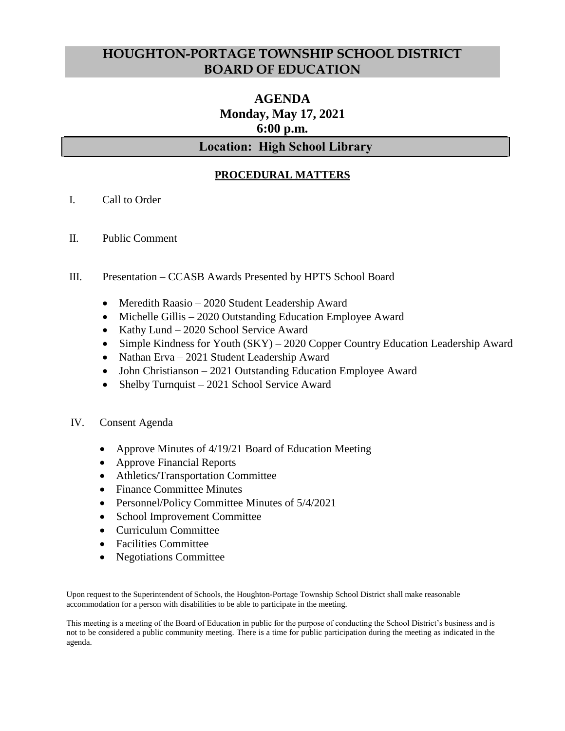## **HOUGHTON-PORTAGE TOWNSHIP SCHOOL DISTRICT BOARD OF EDUCATION**

# **AGENDA Monday, May 17, 2021 6:00 p.m.**

## **Location: High School Library**

## **PROCEDURAL MATTERS**

- I. Call to Order
- II. Public Comment
- III. Presentation CCASB Awards Presented by HPTS School Board
	- Meredith Raasio 2020 Student Leadership Award
	- Michelle Gillis 2020 Outstanding Education Employee Award
	- Kathy Lund 2020 School Service Award
	- Simple Kindness for Youth (SKY) 2020 Copper Country Education Leadership Award
	- Nathan Erva 2021 Student Leadership Award
	- John Christianson 2021 Outstanding Education Employee Award
	- Shelby Turnquist 2021 School Service Award
- IV. Consent Agenda
	- Approve Minutes of 4/19/21 Board of Education Meeting
	- Approve Financial Reports
	- Athletics/Transportation Committee
	- Finance Committee Minutes
	- Personnel/Policy Committee Minutes of  $5/4/2021$
	- School Improvement Committee
	- Curriculum Committee
	- Facilities Committee
	- Negotiations Committee

Upon request to the Superintendent of Schools, the Houghton-Portage Township School District shall make reasonable accommodation for a person with disabilities to be able to participate in the meeting.

This meeting is a meeting of the Board of Education in public for the purpose of conducting the School District's business and is not to be considered a public community meeting. There is a time for public participation during the meeting as indicated in the agenda.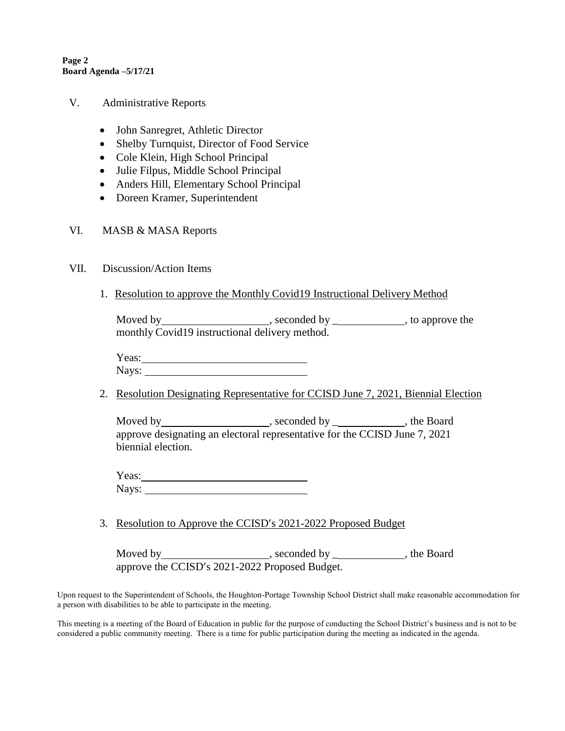#### **Page 2 Board Agenda –5/17/21**

- V. Administrative Reports
	- John Sanregret, Athletic Director
	- Shelby Turnquist, Director of Food Service
	- Cole Klein, High School Principal
	- Julie Filpus, Middle School Principal
	- Anders Hill, Elementary School Principal
	- Doreen Kramer, Superintendent

### VI. MASB & MASA Reports

#### VII. Discussion/Action Items

1. Resolution to approve the Monthly Covid19 Instructional Delivery Method

Moved by \_\_\_\_\_\_\_\_\_\_\_\_\_\_\_\_\_\_\_\_\_, seconded by \_\_\_\_\_\_\_\_\_\_\_\_\_\_, to approve the monthly Covid19 instructional delivery method.

| Y eas: |  |
|--------|--|
| Nays:  |  |

2. Resolution Designating Representative for CCISD June 7, 2021, Biennial Election

Moved by \_\_\_\_\_\_\_\_\_\_\_\_\_\_\_\_\_\_\_\_\_, seconded by \_\_\_\_\_\_\_\_\_\_\_\_\_\_, the Board approve designating an electoral representative for the CCISD June 7, 2021 biennial election.

Yeas: Nays:  $\blacksquare$ 

3. Resolution to Approve the CCISD's 2021-2022 Proposed Budget

Moved by , seconded by \_ , the Board approve the CCISD's 2021-2022 Proposed Budget.

Upon request to the Superintendent of Schools, the Houghton-Portage Township School District shall make reasonable accommodation for a person with disabilities to be able to participate in the meeting.

This meeting is a meeting of the Board of Education in public for the purpose of conducting the School District's business and is not to be considered a public community meeting. There is a time for public participation during the meeting as indicated in the agenda.